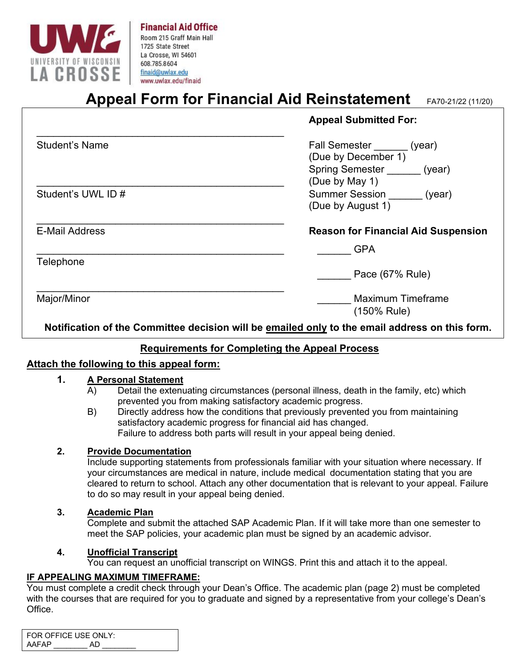

# **Appeal Form for Financial Aid Reinstatement** FA70-21/22 (11/20)

|                       | <b>Appeal Submitted For:</b>                                                                                |
|-----------------------|-------------------------------------------------------------------------------------------------------------|
| Student's Name        | <b>Fall Semester</b><br>(year)<br>(Due by December 1)<br><b>Spring Semester</b><br>(year)<br>(Due by May 1) |
| Student's UWL ID #    | <b>Summer Session</b><br>(year)<br>(Due by August 1)                                                        |
| <b>E-Mail Address</b> | <b>Reason for Financial Aid Suspension</b>                                                                  |
|                       | <b>GPA</b>                                                                                                  |
| Telephone             | Pace (67% Rule)                                                                                             |
| Major/Minor           | <b>Maximum Timeframe</b><br>(150% Rule)                                                                     |

**Notification of the Committee decision will be emailed only to the email address on this form.**

## **Requirements for Completing the Appeal Process**

### **Attach the following to this appeal form:**

# **1. A Personal Statement**<br>A) Detail the extenu

- Detail the extenuating circumstances (personal illness, death in the family, etc) which prevented you from making satisfactory academic progress.
- B) Directly address how the conditions that previously prevented you from maintaining satisfactory academic progress for financial aid has changed. Failure to address both parts will result in your appeal being denied.

### **2. Provide Documentation**

Include supporting statements from professionals familiar with your situation where necessary. If your circumstances are medical in nature, include medical documentation stating that you are cleared to return to school. Attach any other documentation that is relevant to your appeal. Failure to do so may result in your appeal being denied.

### **3. Academic Plan**

Complete and submit the attached SAP Academic Plan. If it will take more than one semester to meet the SAP policies, your academic plan must be signed by an academic advisor.

### **4. Unofficial Transcript**

You can request an unofficial transcript on WINGS. Print this and attach it to the appeal.

#### **IF APPEALING MAXIMUM TIMEFRAME:**

You must complete a credit check through your Dean's Office. The academic plan (page 2) must be completed with the courses that are required for you to graduate and signed by a representative from your college's Dean's Office.

|       | FOR OFFICE USE ONLY: |
|-------|----------------------|
| AAFAP | AD.                  |